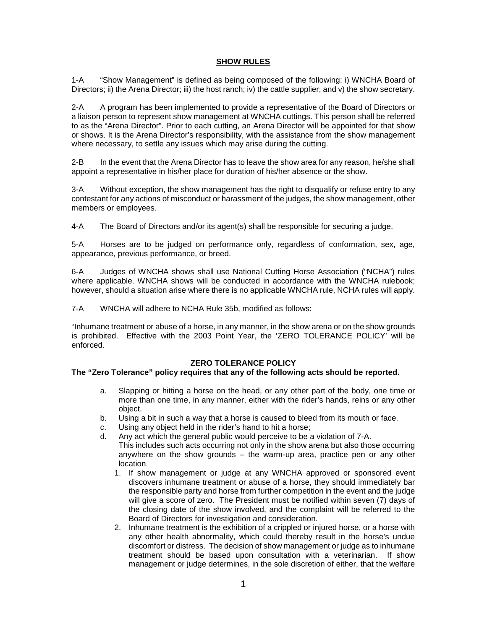### **SHOW RULES**

1-A "Show Management" is defined as being composed of the following: i) WNCHA Board of Directors; ii) the Arena Director; iii) the host ranch; iv) the cattle supplier; and v) the show secretary.

2-A A program has been implemented to provide a representative of the Board of Directors or a liaison person to represent show management at WNCHA cuttings. This person shall be referred to as the "Arena Director". Prior to each cutting, an Arena Director will be appointed for that show or shows. It is the Arena Director's responsibility, with the assistance from the show management where necessary, to settle any issues which may arise during the cutting.

2-B In the event that the Arena Director has to leave the show area for any reason, he/she shall appoint a representative in his/her place for duration of his/her absence or the show.

3-A Without exception, the show management has the right to disqualify or refuse entry to any contestant for any actions of misconduct or harassment of the judges, the show management, other members or employees.

4-A The Board of Directors and/or its agent(s) shall be responsible for securing a judge.

5-A Horses are to be judged on performance only, regardless of conformation, sex, age, appearance, previous performance, or breed.

6-A Judges of WNCHA shows shall use National Cutting Horse Association ("NCHA") rules where applicable. WNCHA shows will be conducted in accordance with the WNCHA rulebook: however, should a situation arise where there is no applicable WNCHA rule, NCHA rules will apply.

7-A WNCHA will adhere to NCHA Rule 35b, modified as follows:

"Inhumane treatment or abuse of a horse, in any manner, in the show arena or on the show grounds is prohibited. Effective with the 2003 Point Year, the 'ZERO TOLERANCE POLICY' will be enforced.

### **ZERO TOLERANCE POLICY**

### **The "Zero Tolerance" policy requires that any of the following acts should be reported.**

- a. Slapping or hitting a horse on the head, or any other part of the body, one time or more than one time, in any manner, either with the rider's hands, reins or any other object.
- b. Using a bit in such a way that a horse is caused to bleed from its mouth or face.
- c. Using any object held in the rider's hand to hit a horse;
- d. Any act which the general public would perceive to be a violation of 7-A. This includes such acts occurring not only in the show arena but also those occurring anywhere on the show grounds – the warm-up area, practice pen or any other location.
	- 1. If show management or judge at any WNCHA approved or sponsored event discovers inhumane treatment or abuse of a horse, they should immediately bar the responsible party and horse from further competition in the event and the judge will give a score of zero. The President must be notified within seven (7) days of the closing date of the show involved, and the complaint will be referred to the Board of Directors for investigation and consideration.
	- 2. Inhumane treatment is the exhibition of a crippled or injured horse, or a horse with any other health abnormality, which could thereby result in the horse's undue discomfort or distress. The decision of show management or judge as to inhumane treatment should be based upon consultation with a veterinarian. If show management or judge determines, in the sole discretion of either, that the welfare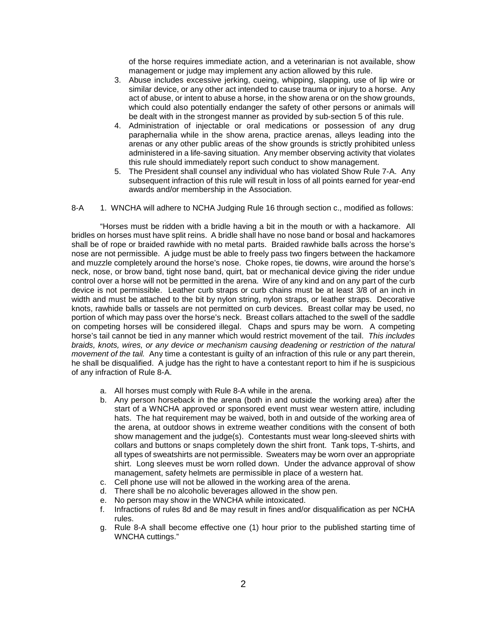of the horse requires immediate action, and a veterinarian is not available, show management or judge may implement any action allowed by this rule.

- 3. Abuse includes excessive jerking, cueing, whipping, slapping, use of lip wire or similar device, or any other act intended to cause trauma or injury to a horse. Any act of abuse, or intent to abuse a horse, in the show arena or on the show grounds, which could also potentially endanger the safety of other persons or animals will be dealt with in the strongest manner as provided by sub-section 5 of this rule.
- 4. Administration of injectable or oral medications or possession of any drug paraphernalia while in the show arena, practice arenas, alleys leading into the arenas or any other public areas of the show grounds is strictly prohibited unless administered in a life-saving situation. Any member observing activity that violates this rule should immediately report such conduct to show management.
- 5. The President shall counsel any individual who has violated Show Rule 7-A. Any subsequent infraction of this rule will result in loss of all points earned for year-end awards and/or membership in the Association.

#### 8-A 1. WNCHA will adhere to NCHA Judging Rule 16 through section c., modified as follows:

"Horses must be ridden with a bridle having a bit in the mouth or with a hackamore. All bridles on horses must have split reins. A bridle shall have no nose band or bosal and hackamores shall be of rope or braided rawhide with no metal parts. Braided rawhide balls across the horse's nose are not permissible. A judge must be able to freely pass two fingers between the hackamore and muzzle completely around the horse's nose. Choke ropes, tie downs, wire around the horse's neck, nose, or brow band, tight nose band, quirt, bat or mechanical device giving the rider undue control over a horse will not be permitted in the arena. Wire of any kind and on any part of the curb device is not permissible. Leather curb straps or curb chains must be at least 3/8 of an inch in width and must be attached to the bit by nylon string, nylon straps, or leather straps. Decorative knots, rawhide balls or tassels are not permitted on curb devices. Breast collar may be used, no portion of which may pass over the horse's neck. Breast collars attached to the swell of the saddle on competing horses will be considered illegal. Chaps and spurs may be worn. A competing horse's tail cannot be tied in any manner which would restrict movement of the tail. *This includes braids, knots, wires, or any device or mechanism causing deadening or restriction of the natural movement of the tail.* Any time a contestant is guilty of an infraction of this rule or any part therein, he shall be disqualified. A judge has the right to have a contestant report to him if he is suspicious of any infraction of Rule 8-A.

- a. All horses must comply with Rule 8-A while in the arena.
- b. Any person horseback in the arena (both in and outside the working area) after the start of a WNCHA approved or sponsored event must wear western attire, including hats. The hat requirement may be waived, both in and outside of the working area of the arena, at outdoor shows in extreme weather conditions with the consent of both show management and the judge(s). Contestants must wear long-sleeved shirts with collars and buttons or snaps completely down the shirt front. Tank tops, T-shirts, and all types of sweatshirts are not permissible. Sweaters may be worn over an appropriate shirt. Long sleeves must be worn rolled down. Under the advance approval of show management, safety helmets are permissible in place of a western hat.
- c. Cell phone use will not be allowed in the working area of the arena.
- d. There shall be no alcoholic beverages allowed in the show pen.
- e. No person may show in the WNCHA while intoxicated.
- f. Infractions of rules 8d and 8e may result in fines and/or disqualification as per NCHA rules.
- g. Rule 8-A shall become effective one (1) hour prior to the published starting time of WNCHA cuttings."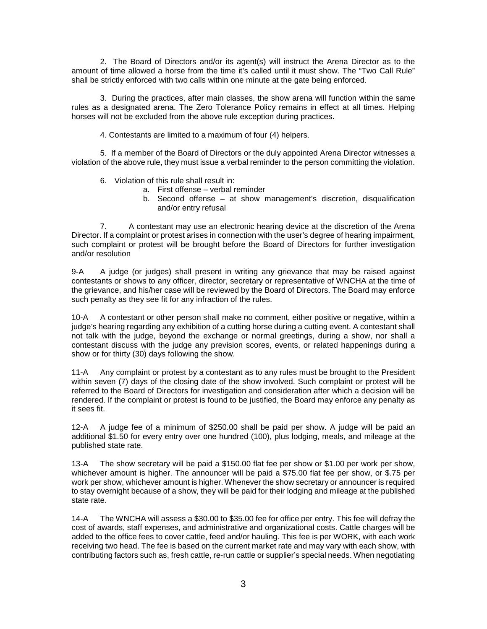2. The Board of Directors and/or its agent(s) will instruct the Arena Director as to the amount of time allowed a horse from the time it's called until it must show. The "Two Call Rule" shall be strictly enforced with two calls within one minute at the gate being enforced.

3. During the practices, after main classes, the show arena will function within the same rules as a designated arena. The Zero Tolerance Policy remains in effect at all times. Helping horses will not be excluded from the above rule exception during practices.

4. Contestants are limited to a maximum of four (4) helpers.

5. If a member of the Board of Directors or the duly appointed Arena Director witnesses a violation of the above rule, they must issue a verbal reminder to the person committing the violation.

- 6. Violation of this rule shall result in:
	- a. First offense verbal reminder
	- b. Second offense at show management's discretion, disqualification and/or entry refusal

7. A contestant may use an electronic hearing device at the discretion of the Arena Director. If a complaint or protest arises in connection with the user's degree of hearing impairment, such complaint or protest will be brought before the Board of Directors for further investigation and/or resolution

9-A A judge (or judges) shall present in writing any grievance that may be raised against contestants or shows to any officer, director, secretary or representative of WNCHA at the time of the grievance, and his/her case will be reviewed by the Board of Directors. The Board may enforce such penalty as they see fit for any infraction of the rules.

10-A A contestant or other person shall make no comment, either positive or negative, within a judge's hearing regarding any exhibition of a cutting horse during a cutting event. A contestant shall not talk with the judge, beyond the exchange or normal greetings, during a show, nor shall a contestant discuss with the judge any prevision scores, events, or related happenings during a show or for thirty (30) days following the show.

11-A Any complaint or protest by a contestant as to any rules must be brought to the President within seven (7) days of the closing date of the show involved. Such complaint or protest will be referred to the Board of Directors for investigation and consideration after which a decision will be rendered. If the complaint or protest is found to be justified, the Board may enforce any penalty as it sees fit.

12-A A judge fee of a minimum of \$250.00 shall be paid per show. A judge will be paid an additional \$1.50 for every entry over one hundred (100), plus lodging, meals, and mileage at the published state rate.

13-A The show secretary will be paid a \$150.00 flat fee per show or \$1.00 per work per show, whichever amount is higher. The announcer will be paid a \$75.00 flat fee per show, or \$.75 per work per show, whichever amount is higher. Whenever the show secretary or announcer is required to stay overnight because of a show, they will be paid for their lodging and mileage at the published state rate.

14-A The WNCHA will assess a \$30.00 to \$35.00 fee for office per entry. This fee will defray the cost of awards, staff expenses, and administrative and organizational costs. Cattle charges will be added to the office fees to cover cattle, feed and/or hauling. This fee is per WORK, with each work receiving two head. The fee is based on the current market rate and may vary with each show, with contributing factors such as, fresh cattle, re-run cattle or supplier's special needs. When negotiating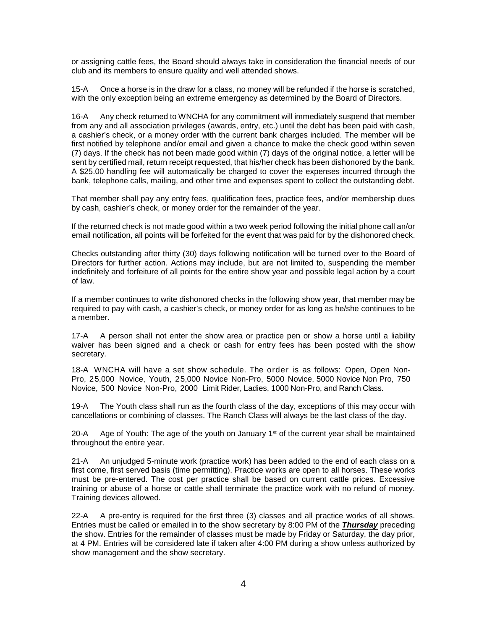or assigning cattle fees, the Board should always take in consideration the financial needs of our club and its members to ensure quality and well attended shows.

15-A Once a horse is in the draw for a class, no money will be refunded if the horse is scratched, with the only exception being an extreme emergency as determined by the Board of Directors.

16-A Any check returned to WNCHA for any commitment will immediately suspend that member from any and all association privileges (awards, entry, etc.) until the debt has been paid with cash, a cashier's check, or a money order with the current bank charges included. The member will be first notified by telephone and/or email and given a chance to make the check good within seven (7) days. If the check has not been made good within (7) days of the original notice, a letter will be sent by certified mail, return receipt requested, that his/her check has been dishonored by the bank. A \$25.00 handling fee will automatically be charged to cover the expenses incurred through the bank, telephone calls, mailing, and other time and expenses spent to collect the outstanding debt.

That member shall pay any entry fees, qualification fees, practice fees, and/or membership dues by cash, cashier's check, or money order for the remainder of the year.

If the returned check is not made good within a two week period following the initial phone call an/or email notification, all points will be forfeited for the event that was paid for by the dishonored check.

Checks outstanding after thirty (30) days following notification will be turned over to the Board of Directors for further action. Actions may include, but are not limited to, suspending the member indefinitely and forfeiture of all points for the entire show year and possible legal action by a court of law.

If a member continues to write dishonored checks in the following show year, that member may be required to pay with cash, a cashier's check, or money order for as long as he/she continues to be a member.

17-A A person shall not enter the show area or practice pen or show a horse until a liability waiver has been signed and a check or cash for entry fees has been posted with the show secretary.

18-A WNCHA will have a set show schedule. The order is as follows: Open, Open Non-Pro, 25,000 Novice, Youth, 25,000 Novice Non-Pro, 5000 Novice, 5000 Novice Non Pro, 750 Novice, 500 Novice Non-Pro, 2000 Limit Rider, Ladies, 1000 Non-Pro, and Ranch Class.

19-A The Youth class shall run as the fourth class of the day, exceptions of this may occur with cancellations or combining of classes. The Ranch Class will always be the last class of the day.

20-A Age of Youth: The age of the youth on January  $1<sup>st</sup>$  of the current year shall be maintained throughout the entire year.

21-A An unjudged 5-minute work (practice work) has been added to the end of each class on a first come, first served basis (time permitting). Practice works are open to all horses. These works must be pre-entered. The cost per practice shall be based on current cattle prices. Excessive training or abuse of a horse or cattle shall terminate the practice work with no refund of money. Training devices allowed.

22-A A pre-entry is required for the first three (3) classes and all practice works of all shows. Entries must be called or emailed in to the show secretary by 8:00 PM of the *Thursday* preceding the show. Entries for the remainder of classes must be made by Friday or Saturday, the day prior, at 4 PM. Entries will be considered late if taken after 4:00 PM during a show unless authorized by show management and the show secretary.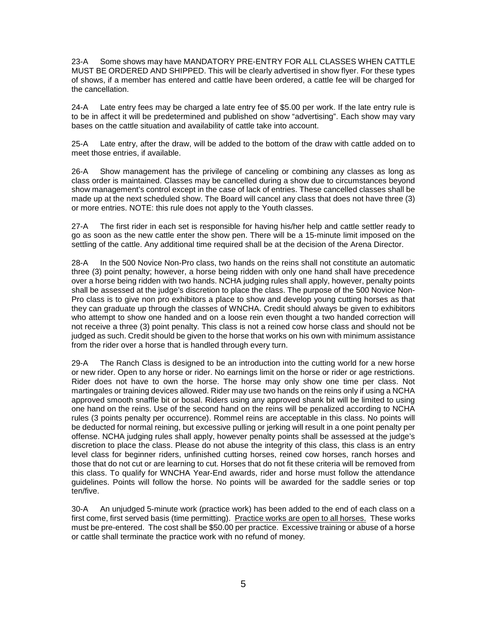23-A Some shows may have MANDATORY PRE-ENTRY FOR ALL CLASSES WHEN CATTLE MUST BE ORDERED AND SHIPPED. This will be clearly advertised in show flyer. For these types of shows, if a member has entered and cattle have been ordered, a cattle fee will be charged for the cancellation.

24-A Late entry fees may be charged a late entry fee of \$5.00 per work. If the late entry rule is to be in affect it will be predetermined and published on show "advertising". Each show may vary bases on the cattle situation and availability of cattle take into account.

25-A Late entry, after the draw, will be added to the bottom of the draw with cattle added on to meet those entries, if available.

26-A Show management has the privilege of canceling or combining any classes as long as class order is maintained. Classes may be cancelled during a show due to circumstances beyond show management's control except in the case of lack of entries. These cancelled classes shall be made up at the next scheduled show. The Board will cancel any class that does not have three (3) or more entries. NOTE: this rule does not apply to the Youth classes.

27-A The first rider in each set is responsible for having his/her help and cattle settler ready to go as soon as the new cattle enter the show pen. There will be a 15-minute limit imposed on the settling of the cattle. Any additional time required shall be at the decision of the Arena Director.

28-A In the 500 Novice Non-Pro class, two hands on the reins shall not constitute an automatic three (3) point penalty; however, a horse being ridden with only one hand shall have precedence over a horse being ridden with two hands. NCHA judging rules shall apply, however, penalty points shall be assessed at the judge's discretion to place the class. The purpose of the 500 Novice Non-Pro class is to give non pro exhibitors a place to show and develop young cutting horses as that they can graduate up through the classes of WNCHA. Credit should always be given to exhibitors who attempt to show one handed and on a loose rein even thought a two handed correction will not receive a three (3) point penalty. This class is not a reined cow horse class and should not be judged as such. Credit should be given to the horse that works on his own with minimum assistance from the rider over a horse that is handled through every turn.

29-A The Ranch Class is designed to be an introduction into the cutting world for a new horse or new rider. Open to any horse or rider. No earnings limit on the horse or rider or age restrictions. Rider does not have to own the horse. The horse may only show one time per class. Not martingales or training devices allowed. Rider may use two hands on the reins only if using a NCHA approved smooth snaffle bit or bosal. Riders using any approved shank bit will be limited to using one hand on the reins. Use of the second hand on the reins will be penalized according to NCHA rules (3 points penalty per occurrence). Rommel reins are acceptable in this class. No points will be deducted for normal reining, but excessive pulling or jerking will result in a one point penalty per offense. NCHA judging rules shall apply, however penalty points shall be assessed at the judge's discretion to place the class. Please do not abuse the integrity of this class, this class is an entry level class for beginner riders, unfinished cutting horses, reined cow horses, ranch horses and those that do not cut or are learning to cut. Horses that do not fit these criteria will be removed from this class. To qualify for WNCHA Year-End awards, rider and horse must follow the attendance guidelines. Points will follow the horse. No points will be awarded for the saddle series or top ten/five.

30-A An unjudged 5-minute work (practice work) has been added to the end of each class on a first come, first served basis (time permitting). Practice works are open to all horses.These works must be pre-entered. The cost shall be \$50.00 per practice. Excessive training or abuse of a horse or cattle shall terminate the practice work with no refund of money.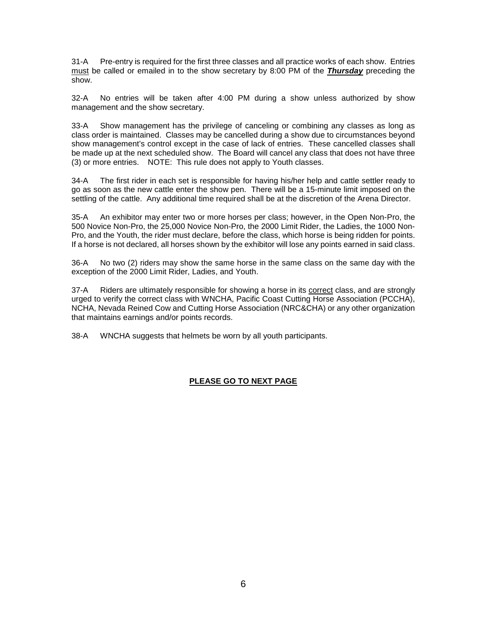31-A Pre-entry is required for the first three classes and all practice works of each show. Entries must be called or emailed in to the show secretary by 8:00 PM of the *Thursday* preceding the show.

32-A No entries will be taken after 4:00 PM during a show unless authorized by show management and the show secretary.

33-A Show management has the privilege of canceling or combining any classes as long as class order is maintained. Classes may be cancelled during a show due to circumstances beyond show management's control except in the case of lack of entries. These cancelled classes shall be made up at the next scheduled show. The Board will cancel any class that does not have three (3) or more entries. NOTE: This rule does not apply to Youth classes.

34-A The first rider in each set is responsible for having his/her help and cattle settler ready to go as soon as the new cattle enter the show pen. There will be a 15-minute limit imposed on the settling of the cattle. Any additional time required shall be at the discretion of the Arena Director.

35-A An exhibitor may enter two or more horses per class; however, in the Open Non-Pro, the 500 Novice Non-Pro, the 25,000 Novice Non-Pro, the 2000 Limit Rider, the Ladies, the 1000 Non-Pro, and the Youth, the rider must declare, before the class, which horse is being ridden for points. If a horse is not declared, all horses shown by the exhibitor will lose any points earned in said class.

36-A No two (2) riders may show the same horse in the same class on the same day with the exception of the 2000 Limit Rider, Ladies, and Youth.

37-A Riders are ultimately responsible for showing a horse in its correct class, and are strongly urged to verify the correct class with WNCHA, Pacific Coast Cutting Horse Association (PCCHA), NCHA, Nevada Reined Cow and Cutting Horse Association (NRC&CHA) or any other organization that maintains earnings and/or points records.

38-A WNCHA suggests that helmets be worn by all youth participants.

# **PLEASE GO TO NEXT PAGE**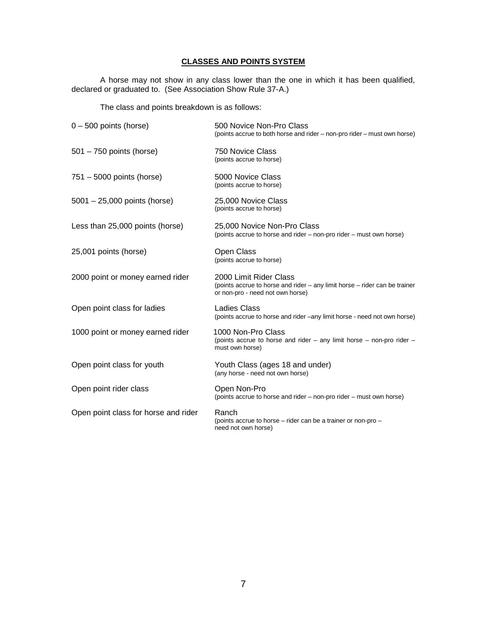# **CLASSES AND POINTS SYSTEM**

A horse may not show in any class lower than the one in which it has been qualified, declared or graduated to. (See Association Show Rule 37-A.)

The class and points breakdown is as follows:

| 0 – 500 points (horse)               | 500 Novice Non-Pro Class<br>(points accrue to both horse and rider - non-pro rider - must own horse)                                     |
|--------------------------------------|------------------------------------------------------------------------------------------------------------------------------------------|
| 501 – 750 points (horse)             | 750 Novice Class<br>(points accrue to horse)                                                                                             |
| 751 - 5000 points (horse)            | 5000 Novice Class<br>(points accrue to horse)                                                                                            |
| 5001 - 25,000 points (horse)         | 25,000 Novice Class<br>(points accrue to horse)                                                                                          |
| Less than 25,000 points (horse)      | 25,000 Novice Non-Pro Class<br>(points accrue to horse and rider – non-pro rider – must own horse)                                       |
| 25,001 points (horse)                | <b>Open Class</b><br>(points accrue to horse)                                                                                            |
| 2000 point or money earned rider     | 2000 Limit Rider Class<br>(points accrue to horse and rider - any limit horse - rider can be trainer<br>or non-pro - need not own horse) |
| Open point class for ladies          | Ladies Class<br>(points accrue to horse and rider –any limit horse - need not own horse)                                                 |
| 1000 point or money earned rider     | 1000 Non-Pro Class<br>(points accrue to horse and rider $-$ any limit horse $-$ non-pro rider $-$<br>must own horse)                     |
| Open point class for youth           | Youth Class (ages 18 and under)<br>(any horse - need not own horse)                                                                      |
| Open point rider class               | Open Non-Pro<br>(points accrue to horse and rider – non-pro rider – must own horse)                                                      |
| Open point class for horse and rider | Ranch<br>(points accrue to horse - rider can be a trainer or non-pro -<br>need not own horse)                                            |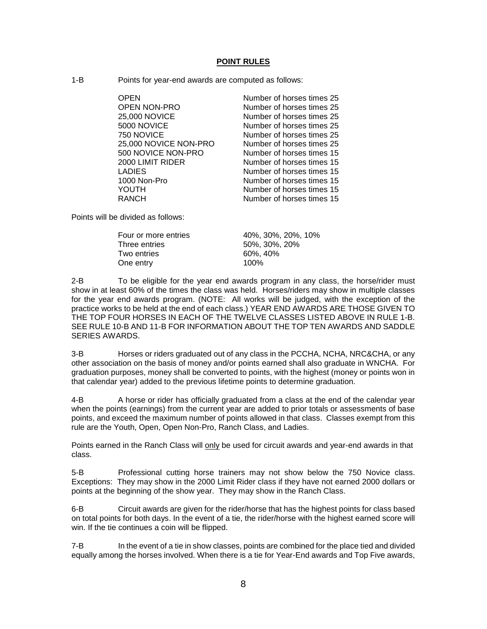#### **POINT RULES**

1-B Points for year-end awards are computed as follows:

OPEN Number of horses times 25 OPEN NON-PRO **Number of horses times 25**<br>25,000 NOVICE **Number of horses times 25** 5000 NOVICE Number of horses times 25 750 NOVICE **Number of horses times 25**<br>25.000 NOVICE NON-PRO Number of horses times 25 25,000 NOVICE NON-PRO 500 NOVICE NON-PRO Number of horses times 15 2000 LIMIT RIDER Number of horses times 15<br>
LADIES 1000 Non-Pro Number of horses times 15

Number of horses times 25 Number of horses times 15 YOUTH Number of horses times 15<br>RANCH Number of horses times 15 Number of horses times 15

Points will be divided as follows:

| Four or more entries | 40%, 30%, 20%, 10% |
|----------------------|--------------------|
| Three entries        | 50%, 30%, 20%      |
| Two entries          | 60%, 40%           |
| One entry            | 100%               |

2-B To be eligible for the year end awards program in any class, the horse/rider must show in at least 60% of the times the class was held. Horses/riders may show in multiple classes for the year end awards program. (NOTE: All works will be judged, with the exception of the practice works to be held at the end of each class.) YEAR END AWARDS ARE THOSE GIVEN TO THE TOP FOUR HORSES IN EACH OF THE TWELVE CLASSES LISTED ABOVE IN RULE 1-B. SEE RULE 10-B AND 11-B FOR INFORMATION ABOUT THE TOP TEN AWARDS AND SADDLE SERIES AWARDS.

3-B Horses or riders graduated out of any class in the PCCHA, NCHA, NRC&CHA, or any other association on the basis of money and/or points earned shall also graduate in WNCHA. For graduation purposes, money shall be converted to points, with the highest (money or points won in that calendar year) added to the previous lifetime points to determine graduation.

4-B A horse or rider has officially graduated from a class at the end of the calendar year when the points (earnings) from the current year are added to prior totals or assessments of base points, and exceed the maximum number of points allowed in that class. Classes exempt from this rule are the Youth, Open, Open Non-Pro, Ranch Class, and Ladies.

Points earned in the Ranch Class will only be used for circuit awards and year-end awards in that class.

5-B Professional cutting horse trainers may not show below the 750 Novice class. Exceptions: They may show in the 2000 Limit Rider class if they have not earned 2000 dollars or points at the beginning of the show year. They may show in the Ranch Class.

6-B Circuit awards are given for the rider/horse that has the highest points for class based on total points for both days. In the event of a tie, the rider/horse with the highest earned score will win. If the tie continues a coin will be flipped.

7-B In the event of a tie in show classes, points are combined for the place tied and divided equally among the horses involved. When there is a tie for Year-End awards and Top Five awards,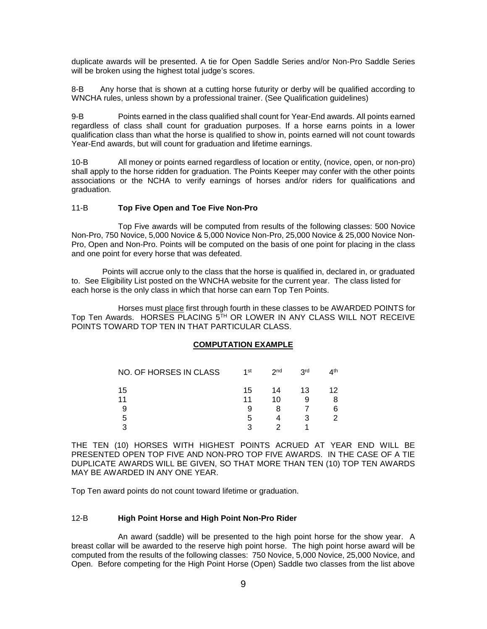duplicate awards will be presented. A tie for Open Saddle Series and/or Non-Pro Saddle Series will be broken using the highest total judge's scores.

8-B Any horse that is shown at a cutting horse futurity or derby will be qualified according to WNCHA rules, unless shown by a professional trainer. (See Qualification guidelines)

9-B Points earned in the class qualified shall count for Year-End awards. All points earned regardless of class shall count for graduation purposes. If a horse earns points in a lower qualification class than what the horse is qualified to show in, points earned will not count towards Year-End awards, but will count for graduation and lifetime earnings.

10-B All money or points earned regardless of location or entity, (novice, open, or non-pro) shall apply to the horse ridden for graduation. The Points Keeper may confer with the other points associations or the NCHA to verify earnings of horses and/or riders for qualifications and graduation.

### 11-B **Top Five Open and Toe Five Non-Pro**

Top Five awards will be computed from results of the following classes: 500 Novice Non-Pro, 750 Novice, 5,000 Novice & 5,000 Novice Non-Pro, 25,000 Novice & 25,000 Novice Non-Pro, Open and Non-Pro. Points will be computed on the basis of one point for placing in the class and one point for every horse that was defeated.

Points will accrue only to the class that the horse is qualified in, declared in, or graduated to. See Eligibility List posted on the WNCHA website for the current year. The class listed for each horse is the only class in which that horse can earn Top Ten Points.

Horses must place first through fourth in these classes to be AWARDED POINTS for Top Ten Awards. HORSES PLACING 5TH OR LOWER IN ANY CLASS WILL NOT RECEIVE POINTS TOWARD TOP TEN IN THAT PARTICULAR CLASS.

# **COMPUTATION EXAMPLE**

| NO. OF HORSES IN CLASS | 1st     | 2 <sub>nd</sub> | 3rd | $\Lambda$ th |
|------------------------|---------|-----------------|-----|--------------|
| 15                     | 15      | 14              | 13  | 12           |
| 11                     | 11<br>9 | 10              |     | 8<br>6       |
| 5                      | 5       |                 |     | o            |
| າ                      | 3       |                 |     |              |

THE TEN (10) HORSES WITH HIGHEST POINTS ACRUED AT YEAR END WILL BE PRESENTED OPEN TOP FIVE AND NON-PRO TOP FIVE AWARDS. IN THE CASE OF A TIE DUPLICATE AWARDS WILL BE GIVEN, SO THAT MORE THAN TEN (10) TOP TEN AWARDS MAY BE AWARDED IN ANY ONE YEAR.

Top Ten award points do not count toward lifetime or graduation.

### 12-B **High Point Horse and High Point Non-Pro Rider**

An award (saddle) will be presented to the high point horse for the show year. A breast collar will be awarded to the reserve high point horse. The high point horse award will be computed from the results of the following classes: 750 Novice, 5,000 Novice, 25,000 Novice, and Open. Before competing for the High Point Horse (Open) Saddle two classes from the list above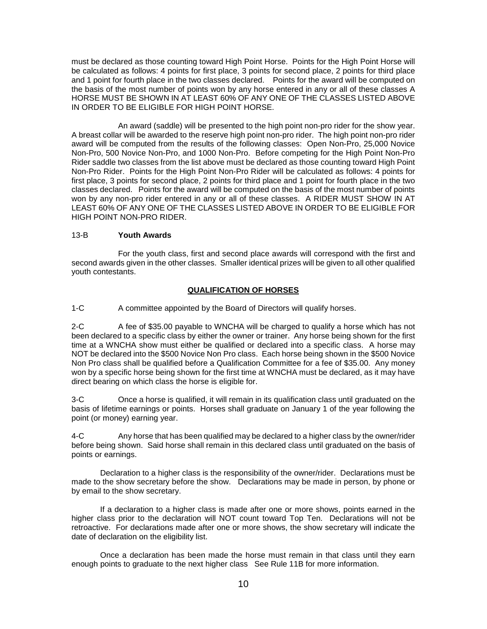must be declared as those counting toward High Point Horse. Points for the High Point Horse will be calculated as follows: 4 points for first place, 3 points for second place, 2 points for third place and 1 point for fourth place in the two classes declared.Points for the award will be computed on the basis of the most number of points won by any horse entered in any or all of these classes A HORSE MUST BE SHOWN IN AT LEAST 60% OF ANY ONE OF THE CLASSES LISTED ABOVE IN ORDER TO BE ELIGIBLE FOR HIGH POINT HORSE.

An award (saddle) will be presented to the high point non-pro rider for the show year. A breast collar will be awarded to the reserve high point non-pro rider. The high point non-pro rider award will be computed from the results of the following classes: Open Non-Pro, 25,000 Novice Non-Pro, 500 Novice Non-Pro, and 1000 Non-Pro. Before competing for the High Point Non-Pro Rider saddle two classes from the list above must be declared as those counting toward High Point Non-Pro Rider. Points for the High Point Non-Pro Rider will be calculated as follows: 4 points for first place, 3 points for second place, 2 points for third place and 1 point for fourth place in the two classes declared. Points for the award will be computed on the basis of the most number of points won by any non-pro rider entered in any or all of these classes. A RIDER MUST SHOW IN AT LEAST 60% OF ANY ONE OF THE CLASSES LISTED ABOVE IN ORDER TO BE ELIGIBLE FOR HIGH POINT NON-PRO RIDER.

# 13-B **Youth Awards**

For the youth class, first and second place awards will correspond with the first and second awards given in the other classes. Smaller identical prizes will be given to all other qualified youth contestants.

### **QUALIFICATION OF HORSES**

1-C A committee appointed by the Board of Directors will qualify horses.

2-C A fee of \$35.00 payable to WNCHA will be charged to qualify a horse which has not been declared to a specific class by either the owner or trainer. Any horse being shown for the first time at a WNCHA show must either be qualified or declared into a specific class. A horse may NOT be declared into the \$500 Novice Non Pro class. Each horse being shown in the \$500 Novice Non Pro class shall be qualified before a Qualification Committee for a fee of \$35.00. Any money won by a specific horse being shown for the first time at WNCHA must be declared, as it may have direct bearing on which class the horse is eligible for.

3-C Once a horse is qualified, it will remain in its qualification class until graduated on the basis of lifetime earnings or points. Horses shall graduate on January 1 of the year following the point (or money) earning year.

4-C Any horse that has been qualified may be declared to a higher class by the owner/rider before being shown. Said horse shall remain in this declared class until graduated on the basis of points or earnings.

Declaration to a higher class is the responsibility of the owner/rider. Declarations must be made to the show secretary before the show. Declarations may be made in person, by phone or by email to the show secretary.

If a declaration to a higher class is made after one or more shows, points earned in the higher class prior to the declaration will NOT count toward Top Ten. Declarations will not be retroactive. For declarations made after one or more shows, the show secretary will indicate the date of declaration on the eligibility list.

Once a declaration has been made the horse must remain in that class until they earn enough points to graduate to the next higher class See Rule 11B for more information.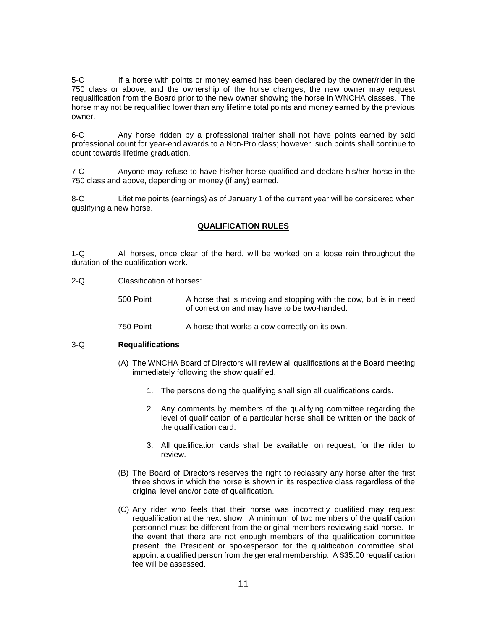5-C If a horse with points or money earned has been declared by the owner/rider in the 750 class or above, and the ownership of the horse changes, the new owner may request requalification from the Board prior to the new owner showing the horse in WNCHA classes. The horse may not be requalified lower than any lifetime total points and money earned by the previous owner.

6-C Any horse ridden by a professional trainer shall not have points earned by said professional count for year-end awards to a Non-Pro class; however, such points shall continue to count towards lifetime graduation.

7-C Anyone may refuse to have his/her horse qualified and declare his/her horse in the 750 class and above, depending on money (if any) earned.

8-C Lifetime points (earnings) as of January 1 of the current year will be considered when qualifying a new horse.

# **QUALIFICATION RULES**

1-Q All horses, once clear of the herd, will be worked on a loose rein throughout the duration of the qualification work.

2-Q Classification of horses:

500 Point A horse that is moving and stopping with the cow, but is in need of correction and may have to be two-handed.

750 Point A horse that works a cow correctly on its own.

### 3-Q **Requalifications**

- (A) The WNCHA Board of Directors will review all qualifications at the Board meeting immediately following the show qualified.
	- 1. The persons doing the qualifying shall sign all qualifications cards.
	- 2. Any comments by members of the qualifying committee regarding the level of qualification of a particular horse shall be written on the back of the qualification card.
	- 3. All qualification cards shall be available, on request, for the rider to review.
- (B) The Board of Directors reserves the right to reclassify any horse after the first three shows in which the horse is shown in its respective class regardless of the original level and/or date of qualification.
- (C) Any rider who feels that their horse was incorrectly qualified may request requalification at the next show. A minimum of two members of the qualification personnel must be different from the original members reviewing said horse. In the event that there are not enough members of the qualification committee present, the President or spokesperson for the qualification committee shall appoint a qualified person from the general membership. A \$35.00 requalification fee will be assessed.